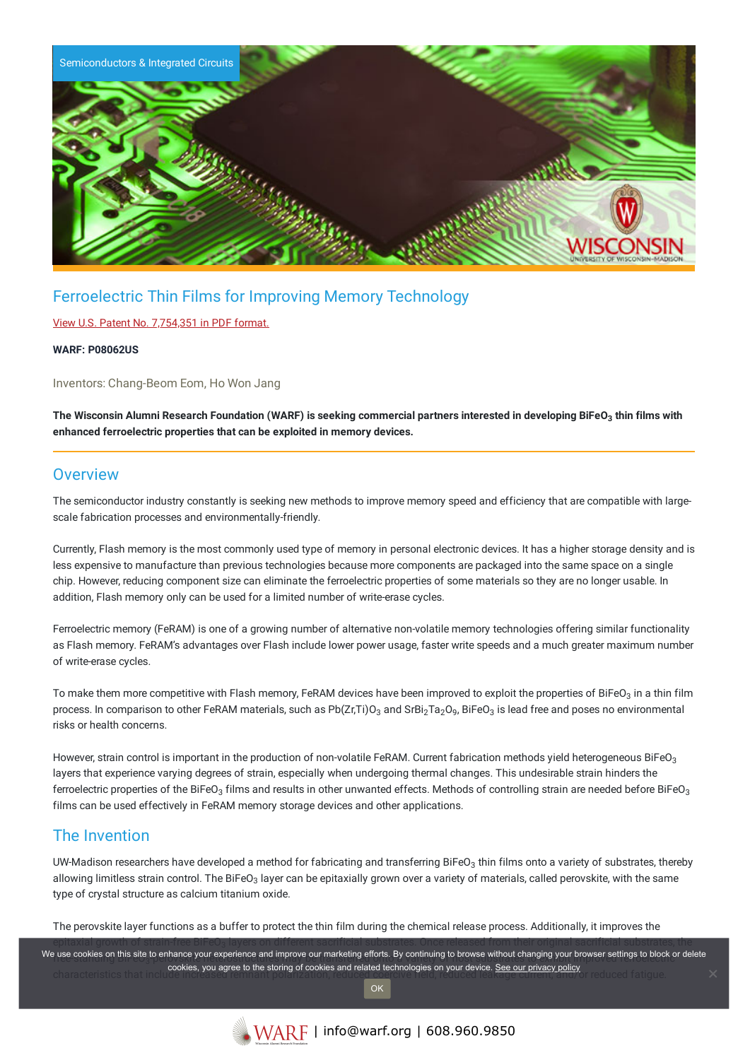

# Ferroelectric Thin Films for Improving Memory Technology

#### View U.S. Patent No. [7,754,351](https://www.warf.org/wp-content/uploads/technologies/ipstatus/P08062US.PDF) in PDF format.

#### **WARF: P08062US**

Inventors: Chang-Beom Eom, Ho Won Jang

The Wisconsin Alumni Research Foundation (WARF) is seeking commercial partners interested in developing BiFeO $_3$  thin films with **enhanced ferroelectric properties that can be exploited in memory devices.**

### **Overview**

The semiconductor industry constantly is seeking new methods to improve memory speed and efficiency that are compatible with largescale fabrication processes and environmentally-friendly.

Currently, Flash memory is the most commonly used type of memory in personal electronic devices. It has a higher storage density and is less expensive to manufacture than previous technologies because more components are packaged into the same space on a single chip. However, reducing component size can eliminate the ferroelectric properties of some materials so they are no longer usable. In addition, Flash memory only can be used for a limited number of write-erase cycles.

Ferroelectric memory (FeRAM) is one of a growing number of alternative non-volatile memory technologies offering similar functionality as Flash memory. FeRAM's advantages over Flash include lower power usage, faster write speeds and a much greater maximum number of write-erase cycles.

To make them more competitive with Flash memory, FeRAM devices have been improved to exploit the properties of BiFeO $_3$  in a thin film process. In comparison to other FeRAM materials, such as Pb(Zr,Ti)O $_3$  and SrBi $_2$ Ta $_2$ O $_9$ , BiFeO $_3$  is lead free and poses no environmental risks or health concerns.

However, strain control is important in the production of non-volatile FeRAM. Current fabrication methods yield heterogeneous BiFeO $_3$ layers that experience varying degrees of strain, especially when undergoing thermal changes. This undesirable strain hinders the ferroelectric properties of the BiFeO $_3$  films and results in other unwanted effects. Methods of controlling strain are needed before BiFeO $_3$ films can be used effectively in FeRAM memory storage devices and other applications.

### The Invention

UW-Madison researchers have developed a method for fabricating and transferring BiFeO $_3$  thin films onto a variety of substrates, thereby allowing limitless strain control. The BiFeO $_3$  layer can be epitaxially grown over a variety of materials, called perovskite, with the same type of crystal structure as calcium titanium oxide.

The perovskite layer functions as a buffer to protect the thin film during the chemical release process. Additionally, it improves the

epitaxial growth of strain-free BiFeO<sub>3</sub> layers on different sacrificial substrates. Once released from their original sacrificial substrates, the  $\,$ free-cookies on this site to enhance your experience and improve our marketing enorts. By continuing to prowse without changing your prowser settings to block or cookies, you agree to the storing of cookies and related technologies on your device. <u>See our privacy policy</u><br>Characteristics that inc We use cookies on this site to enhance your experience and improve our marketing efforts. By continuing to browse without changing your browser settings to block or delete